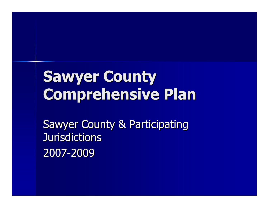# Sawyer CountyComprehensive Plan

Sawyer County & Participating **Jurisdictions** 2007-2009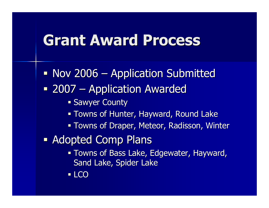### Grant Award Process

 $\blacksquare$  Nov 2006 Application Submitted $\blacksquare$  2007  $\mathcal{L}_{\mathcal{A}}$  Application Awarded**Sawyer County**  Towns of Hunter, Hayward, Round Lake Towns of Draper, Meteor, Radisson, Winter  $\mathbb{R}^2$  Adopted Comp Plans Towns of Bass Lake, Edgewater, Hayward, Sand Lake, Spider Lake■ LCO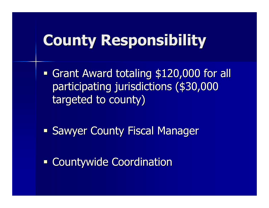### County Responsibility

 $\mathbb{R}^2$ **Grant Award totaling \$120,000 for all** participating jurisdictions (\$30,000 targeted to county)

 $\mathbb{R}^2$ **- Sawyer County Fiscal Manager** 

 $\mathbb{R}^2$ **- Countywide Coordination**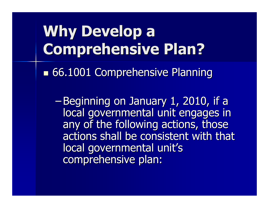-66.1001 Comprehensive Planning

-Beginning on January 1, 2010, if a local governmental unit engages in any of the following actions, those actions shall be consistent with that local governmental unit's comprehensive plan: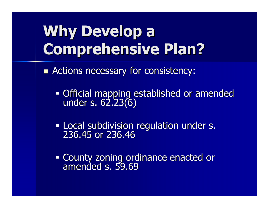-**E** Actions necessary for consistency:

Official mapping established or amended under s. 62.23(6)

**Local subdivision regulation under s.** 236.45 or 236.46

County zoning ordinance enacted or amended s. 59.69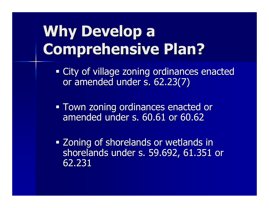**City of village zoning ordinances enacted** or amended under s. 62.23(7)

**Town zoning ordinances enacted or <b>The Senacted** or amended under s. 60.61 or 60.62

**Example 20 September 20 and 20 September 10 April 10 September 20 April 10 April 20 April 20 April 20 April 20** shorelands under s. 59.692, 61.351 or 62.231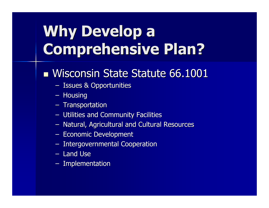### -■ Wisconsin State Statute 66.1001

- Issues & Opportunities
- Housing
- Transportation
- –Utilities and Community Facilities
- Natural, Agricultural and Cultural Resources
- –– Economic Development
- – $-$  Intergovernmental Cooperation
- Land Use
- –– Implementation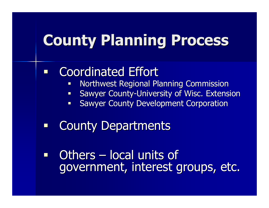#### $\Box$ Coordinated Effort

- $\mathcal{L}_{\mathcal{A}}$ Northwest Regional Planning Commission
- **Sawyer County-University of Wisc. Extension**  $\overline{\phantom{a}}$
- **Sawyer County Development Corporation**  $\blacksquare$
- 0 County Departments

 $\blacksquare$ **Others**  $\mathcal{L}_{\mathcal{A}}$ – local units of<br>mant, interest a government, interest groups, etc.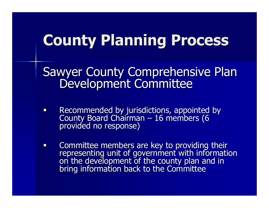- $\Box$ • Recommended by jurisdictions, appointed by<br>County Board Chairman – 16 members (6  $\mathcal{L}_{\mathcal{A}}$  16 members (6 provided no response)
- $\Box$ Committee members are key to providing their representing unit of government with information on the development of the county plan and in bring information back to the Committee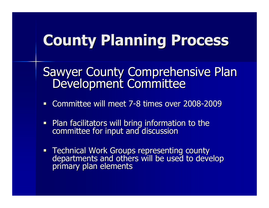- $\blacksquare$ Committee will meet 7-8 times over 2008-2009
- $\blacksquare$ Plan facilitators will bring information to the committee for input and discussion
- **Technical Work Groups representing county** departments and others will be used to develop primary plan elements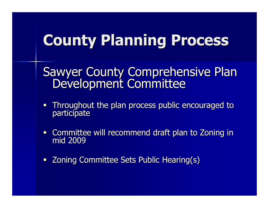- $\blacksquare$  Throughout the plan process public encouraged to participate
- $\blacksquare$ Committee will recommend draft plan to Zoning in mid 2009
- Zoning Committee Sets Public Hearing(s)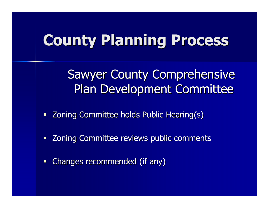- $\blacksquare$ **Zoning Committee holds Public Hearing(s)**
- $\Box$ Zoning Committee reviews public comments
- $\Box$ Changes recommended (if any)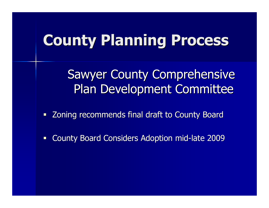Sawyer County Comprehensive Plan Development Committee

 $\Box$ Zoning recommends final draft to County Board

 $\Box$ County Board Considers Adoption mid-late 2009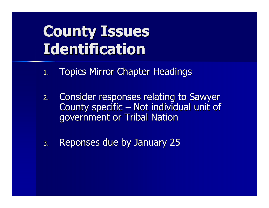### County Issues Identification

- 1.Topics Mirror Chapter Headings
- 2. Consider responses relating to Sawyer County specific – Not individual unit of government or Tribal Nation–– Not individual unit of<br>Erikal Nation
- 3.Reponses due by January 25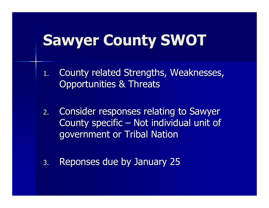### Sawyer County SWOT

- 1. County related Strengths, Weaknesses, Opportunities & Threats
- 2. Consider responses relating to Sawyer County specific – Not individual unit of government or Tribal Nation–Not individual unit of
- 3.Reponses due by January 25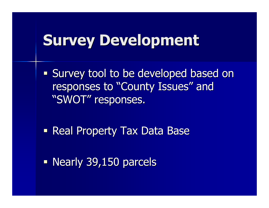### Survey Development

 $\mathbb{R}^2$ **Survey tool to be developed based on Survey tool to be developed based on** responses to "County Issues" and "SWOT" responses.

 $\mathbb{R}^2$ **Real Property Tax Data Base** 

 $\mathbb{R}^2$ Nearly 39,150 parcels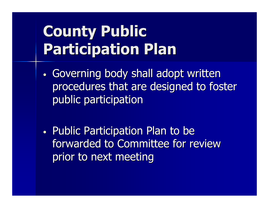# County Public Participation Plan

- •• Governing body shall adopt written procedures that are designed to foster public participation
- •• Public Participation Plan to be forwarded to Committee for review prior to next meeting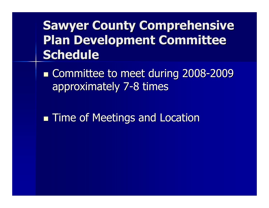### Sawyer County Comprehensive Plan Development Committee **Schedule**

-■ Committee to meet during 2008-2009 approximately 7-8 times

-**Time of Meetings and Location**